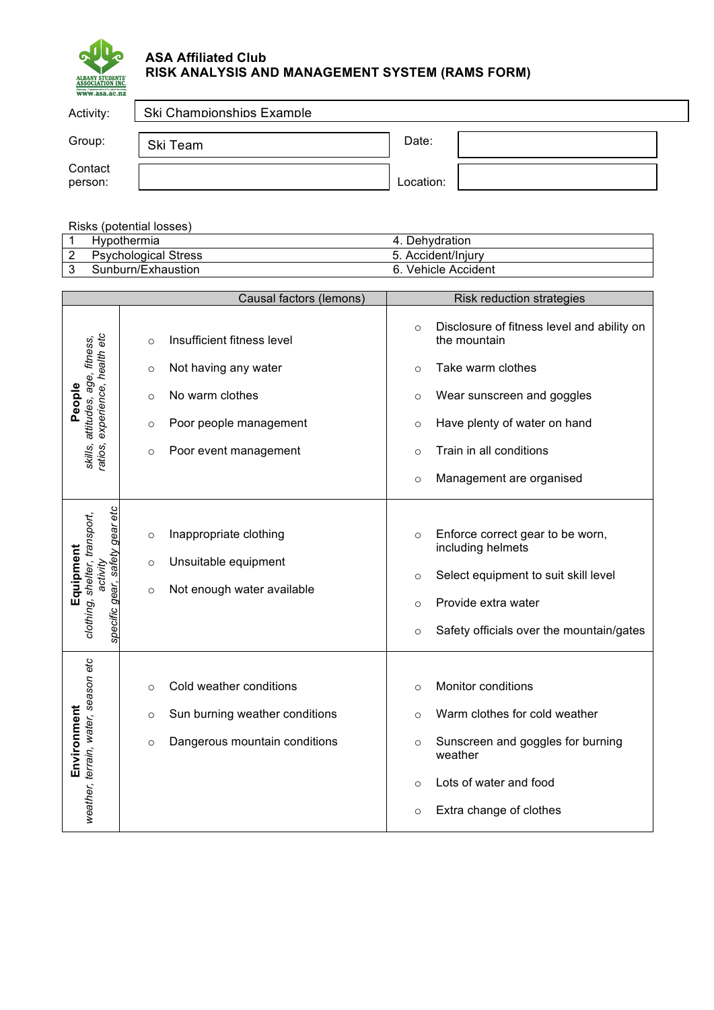

## **ASA Affiliated Club RISK ANALYSIS AND MANAGEMENT SYSTEM (RAMS FORM)**

| Activity:          | Ski Championships Example |           |  |
|--------------------|---------------------------|-----------|--|
| Group:             | Ski Team                  | Date:     |  |
| Contact<br>person: |                           | Location: |  |

Risks (potential losses)

|   | ``                          |                              |
|---|-----------------------------|------------------------------|
|   | <b>Hypothermia</b>          | Dehydration<br>4.            |
| ∼ | <b>Psychological Stress</b> | Accident/Injury              |
|   | Sunburn/Exhaustion          | <b>Vehicle Accident</b><br>6 |

|                                                    |         | Causal factors (lemons)        |          | Risk reduction strategies                                  |
|----------------------------------------------------|---------|--------------------------------|----------|------------------------------------------------------------|
|                                                    | $\circ$ | Insufficient fitness level     | $\circ$  | Disclosure of fitness level and ability on<br>the mountain |
| experience, health etc<br>attitudes, age, fitness, | $\circ$ | Not having any water           | $\circ$  | Take warm clothes                                          |
| People                                             | $\circ$ | No warm clothes                | $\circ$  | Wear sunscreen and goggles                                 |
|                                                    | $\circ$ | Poor people management         | $\circ$  | Have plenty of water on hand                               |
| skills,<br>ratios,                                 | $\circ$ | Poor event management          | $\circ$  | Train in all conditions                                    |
|                                                    |         |                                | $\circ$  | Management are organised                                   |
| safety gear etc                                    | $\circ$ | Inappropriate clothing         | $\circ$  | Enforce correct gear to be worn,                           |
|                                                    |         |                                |          | including helmets                                          |
| Equipment<br>activity                              | $\circ$ | Unsuitable equipment           | $\circ$  | Select equipment to suit skill level                       |
| clothing, shelter, transport,                      | $\circ$ | Not enough water available     | $\Omega$ | Provide extra water                                        |
| specific gear,                                     |         |                                | $\circ$  | Safety officials over the mountain/gates                   |
|                                                    |         |                                |          |                                                            |
|                                                    | $\circ$ | Cold weather conditions        | $\circ$  | Monitor conditions                                         |
|                                                    | $\circ$ | Sun burning weather conditions | $\circ$  | Warm clothes for cold weather                              |
| weather, terrain, water, season etc<br>Environment | $\circ$ | Dangerous mountain conditions  | $\circ$  | Sunscreen and goggles for burning<br>weather               |
|                                                    |         |                                | $\circ$  | Lots of water and food                                     |
|                                                    |         |                                | $\circ$  | Extra change of clothes                                    |